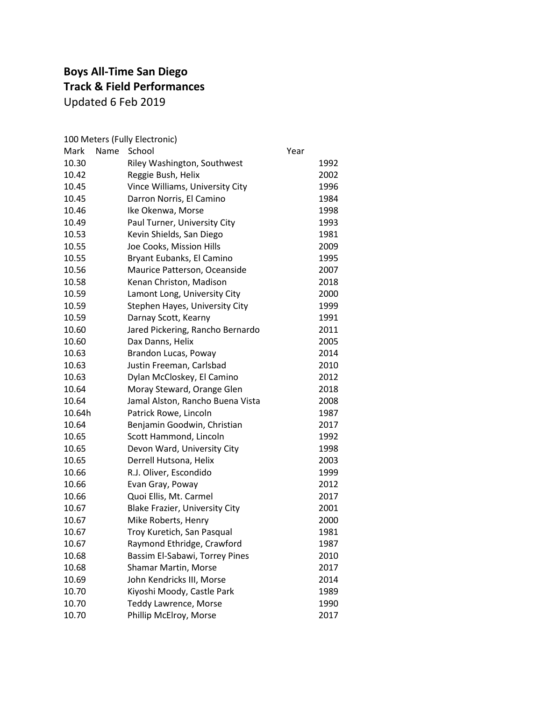### **Boys All-Time San Diego Track & Field Performances** Updated 6 Feb 2019

| School                                | Year                                  |
|---------------------------------------|---------------------------------------|
| Riley Washington, Southwest           | 1992                                  |
| Reggie Bush, Helix                    | 2002                                  |
| Vince Williams, University City       | 1996                                  |
| Darron Norris, El Camino              | 1984                                  |
| Ike Okenwa, Morse                     | 1998                                  |
| Paul Turner, University City          | 1993                                  |
| Kevin Shields, San Diego              | 1981                                  |
| Joe Cooks, Mission Hills              | 2009                                  |
| Bryant Eubanks, El Camino             | 1995                                  |
| Maurice Patterson, Oceanside          | 2007                                  |
| Kenan Christon, Madison               | 2018                                  |
| Lamont Long, University City          | 2000                                  |
| Stephen Hayes, University City        | 1999                                  |
| Darnay Scott, Kearny                  | 1991                                  |
| Jared Pickering, Rancho Bernardo      | 2011                                  |
| Dax Danns, Helix                      | 2005                                  |
| Brandon Lucas, Poway                  | 2014                                  |
| Justin Freeman, Carlsbad              | 2010                                  |
| Dylan McCloskey, El Camino            | 2012                                  |
| Moray Steward, Orange Glen            | 2018                                  |
| Jamal Alston, Rancho Buena Vista      | 2008                                  |
| Patrick Rowe, Lincoln                 | 1987                                  |
| Benjamin Goodwin, Christian           | 2017                                  |
| Scott Hammond, Lincoln                | 1992                                  |
| Devon Ward, University City           | 1998                                  |
| Derrell Hutsona, Helix                | 2003                                  |
| R.J. Oliver, Escondido                | 1999                                  |
| Evan Gray, Poway                      | 2012                                  |
| Quoi Ellis, Mt. Carmel                | 2017                                  |
| <b>Blake Frazier, University City</b> | 2001                                  |
| Mike Roberts, Henry                   | 2000                                  |
| Troy Kuretich, San Pasqual            | 1981                                  |
| Raymond Ethridge, Crawford            | 1987                                  |
| Bassim El-Sabawi, Torrey Pines        | 2010                                  |
| Shamar Martin, Morse                  | 2017                                  |
| John Kendricks III, Morse             | 2014                                  |
| Kiyoshi Moody, Castle Park            | 1989                                  |
| <b>Teddy Lawrence, Morse</b>          | 1990                                  |
| Phillip McElroy, Morse                | 2017                                  |
|                                       | 100 Meters (Fully Electronic)<br>Name |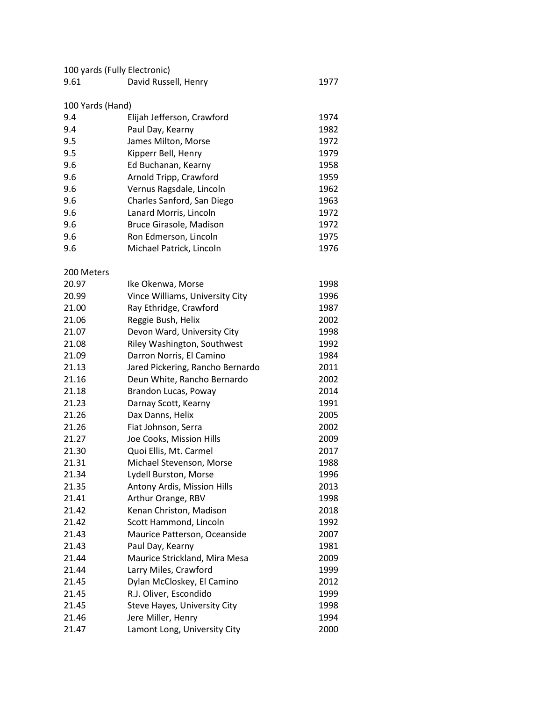| 100 yards (Fully Electronic) |                      |      |
|------------------------------|----------------------|------|
| 9.61                         | David Russell, Henry | 1977 |

#### 100 Yards (Hand)

| 9.4 | Elijah Jefferson, Crawford | 1974 |
|-----|----------------------------|------|
| 9.4 | Paul Day, Kearny           | 1982 |
| 9.5 | James Milton, Morse        | 1972 |
| 9.5 | Kipperr Bell, Henry        | 1979 |
| 9.6 | Ed Buchanan, Kearny        | 1958 |
| 9.6 | Arnold Tripp, Crawford     | 1959 |
| 9.6 | Vernus Ragsdale, Lincoln   | 1962 |
| 9.6 | Charles Sanford, San Diego | 1963 |
| 9.6 | Lanard Morris, Lincoln     | 1972 |
| 9.6 | Bruce Girasole, Madison    | 1972 |
| 9.6 | Ron Edmerson, Lincoln      | 1975 |
| 9.6 | Michael Patrick, Lincoln   | 1976 |

#### 200 Meters

| 20.97 | Ike Okenwa, Morse                | 1998 |
|-------|----------------------------------|------|
| 20.99 | Vince Williams, University City  | 1996 |
| 21.00 | Ray Ethridge, Crawford           | 1987 |
| 21.06 | Reggie Bush, Helix               | 2002 |
| 21.07 | Devon Ward, University City      | 1998 |
| 21.08 | Riley Washington, Southwest      | 1992 |
| 21.09 | Darron Norris, El Camino         | 1984 |
| 21.13 | Jared Pickering, Rancho Bernardo | 2011 |
| 21.16 | Deun White, Rancho Bernardo      | 2002 |
| 21.18 | Brandon Lucas, Poway             | 2014 |
| 21.23 | Darnay Scott, Kearny             | 1991 |
| 21.26 | Dax Danns, Helix                 | 2005 |
| 21.26 | Fiat Johnson, Serra              | 2002 |
| 21.27 | Joe Cooks, Mission Hills         | 2009 |
| 21.30 | Quoi Ellis, Mt. Carmel           | 2017 |
| 21.31 | Michael Stevenson, Morse         | 1988 |
| 21.34 | Lydell Burston, Morse            | 1996 |
| 21.35 | Antony Ardis, Mission Hills      | 2013 |
| 21.41 | Arthur Orange, RBV               | 1998 |
| 21.42 | Kenan Christon, Madison          | 2018 |
| 21.42 | Scott Hammond, Lincoln           | 1992 |
| 21.43 | Maurice Patterson, Oceanside     | 2007 |
| 21.43 | Paul Day, Kearny                 | 1981 |
| 21.44 | Maurice Strickland, Mira Mesa    | 2009 |
| 21.44 | Larry Miles, Crawford            | 1999 |
| 21.45 | Dylan McCloskey, El Camino       | 2012 |
| 21.45 | R.J. Oliver, Escondido           | 1999 |
| 21.45 | Steve Hayes, University City     | 1998 |
| 21.46 | Jere Miller, Henry               | 1994 |
| 21.47 | Lamont Long, University City     | 2000 |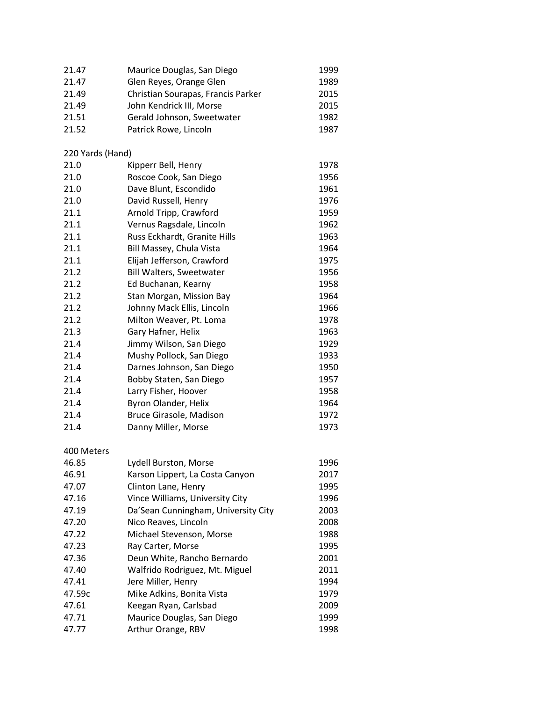| 21.47            | Maurice Douglas, San Diego          | 1999 |
|------------------|-------------------------------------|------|
| 21.47            | Glen Reyes, Orange Glen             | 1989 |
| 21.49            | Christian Sourapas, Francis Parker  | 2015 |
| 21.49            | John Kendrick III, Morse            | 2015 |
| 21.51            | Gerald Johnson, Sweetwater          | 1982 |
| 21.52            | Patrick Rowe, Lincoln               | 1987 |
| 220 Yards (Hand) |                                     |      |
| 21.0             | Kipperr Bell, Henry                 | 1978 |
| 21.0             | Roscoe Cook, San Diego              | 1956 |
| 21.0             | Dave Blunt, Escondido               | 1961 |
| 21.0             | David Russell, Henry                | 1976 |
| 21.1             | Arnold Tripp, Crawford              | 1959 |
| 21.1             | Vernus Ragsdale, Lincoln            | 1962 |
| 21.1             | Russ Eckhardt, Granite Hills        | 1963 |
| 21.1             | Bill Massey, Chula Vista            | 1964 |
| 21.1             | Elijah Jefferson, Crawford          | 1975 |
| 21.2             | <b>Bill Walters, Sweetwater</b>     | 1956 |
| 21.2             | Ed Buchanan, Kearny                 | 1958 |
| 21.2             | Stan Morgan, Mission Bay            | 1964 |
| 21.2             | Johnny Mack Ellis, Lincoln          | 1966 |
| 21.2             | Milton Weaver, Pt. Loma             | 1978 |
| 21.3             | Gary Hafner, Helix                  | 1963 |
| 21.4             | Jimmy Wilson, San Diego             | 1929 |
| 21.4             | Mushy Pollock, San Diego            | 1933 |
| 21.4             | Darnes Johnson, San Diego           | 1950 |
| 21.4             | Bobby Staten, San Diego             | 1957 |
| 21.4             | Larry Fisher, Hoover                | 1958 |
| 21.4             | Byron Olander, Helix                | 1964 |
| 21.4             | Bruce Girasole, Madison             | 1972 |
| 21.4             | Danny Miller, Morse                 | 1973 |
| 400 Meters       |                                     |      |
| 46.85            | Lydell Burston, Morse               | 1996 |
| 46.91            | Karson Lippert, La Costa Canyon     | 2017 |
| 47.07            | Clinton Lane, Henry                 | 1995 |
| 47.16            | Vince Williams, University City     | 1996 |
| 47.19            | Da'Sean Cunningham, University City | 2003 |
| 47.20            | Nico Reaves, Lincoln                | 2008 |
| 47.22            | Michael Stevenson, Morse            | 1988 |
| 47.23            | Ray Carter, Morse                   | 1995 |
| 47.36            | Deun White, Rancho Bernardo         | 2001 |
| 47.40            | Walfrido Rodriguez, Mt. Miguel      | 2011 |
| 47.41            | Jere Miller, Henry                  | 1994 |
| 47.59c           | Mike Adkins, Bonita Vista           | 1979 |
| 47.61            | Keegan Ryan, Carlsbad               | 2009 |
| 47.71            | Maurice Douglas, San Diego          | 1999 |
| 47.77            | Arthur Orange, RBV                  | 1998 |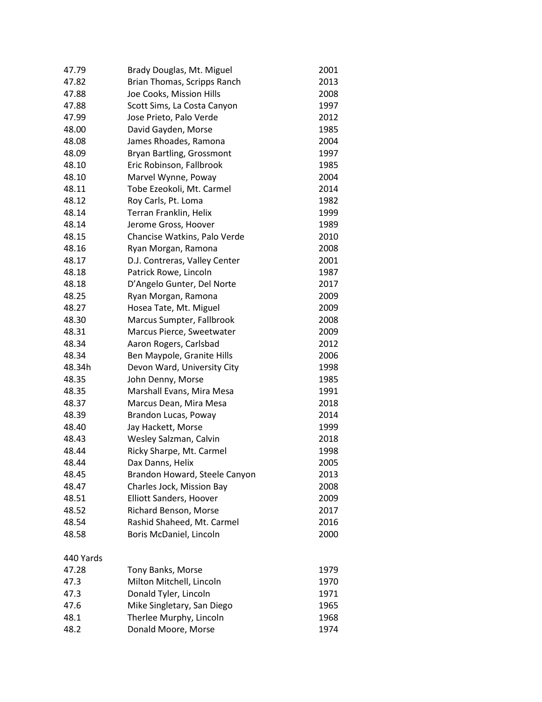| 47.79     | Brady Douglas, Mt. Miguel     | 2001 |
|-----------|-------------------------------|------|
| 47.82     | Brian Thomas, Scripps Ranch   | 2013 |
| 47.88     | Joe Cooks, Mission Hills      | 2008 |
| 47.88     | Scott Sims, La Costa Canyon   | 1997 |
| 47.99     | Jose Prieto, Palo Verde       | 2012 |
| 48.00     | David Gayden, Morse           | 1985 |
| 48.08     | James Rhoades, Ramona         | 2004 |
| 48.09     | Bryan Bartling, Grossmont     | 1997 |
| 48.10     | Eric Robinson, Fallbrook      | 1985 |
| 48.10     | Marvel Wynne, Poway           | 2004 |
| 48.11     | Tobe Ezeokoli, Mt. Carmel     | 2014 |
| 48.12     | Roy Carls, Pt. Loma           | 1982 |
| 48.14     | Terran Franklin, Helix        | 1999 |
| 48.14     | Jerome Gross, Hoover          | 1989 |
| 48.15     | Chancise Watkins, Palo Verde  | 2010 |
| 48.16     | Ryan Morgan, Ramona           | 2008 |
| 48.17     | D.J. Contreras, Valley Center | 2001 |
| 48.18     | Patrick Rowe, Lincoln         | 1987 |
| 48.18     | D'Angelo Gunter, Del Norte    | 2017 |
| 48.25     | Ryan Morgan, Ramona           | 2009 |
| 48.27     | Hosea Tate, Mt. Miguel        | 2009 |
| 48.30     | Marcus Sumpter, Fallbrook     | 2008 |
| 48.31     | Marcus Pierce, Sweetwater     | 2009 |
| 48.34     | Aaron Rogers, Carlsbad        | 2012 |
| 48.34     | Ben Maypole, Granite Hills    | 2006 |
| 48.34h    | Devon Ward, University City   | 1998 |
| 48.35     | John Denny, Morse             | 1985 |
| 48.35     | Marshall Evans, Mira Mesa     | 1991 |
| 48.37     | Marcus Dean, Mira Mesa        | 2018 |
| 48.39     | Brandon Lucas, Poway          | 2014 |
| 48.40     | Jay Hackett, Morse            | 1999 |
| 48.43     | Wesley Salzman, Calvin        | 2018 |
| 48.44     | Ricky Sharpe, Mt. Carmel      | 1998 |
| 48.44     | Dax Danns, Helix              | 2005 |
| 48.45     | Brandon Howard, Steele Canyon | 2013 |
| 48.47     | Charles Jock, Mission Bay     | 2008 |
| 48.51     | Elliott Sanders, Hoover       | 2009 |
| 48.52     | Richard Benson, Morse         | 2017 |
| 48.54     | Rashid Shaheed, Mt. Carmel    | 2016 |
| 48.58     | Boris McDaniel, Lincoln       | 2000 |
| 440 Yards |                               |      |
| 47.28     | Tony Banks, Morse             | 1979 |
| 47.3      | Milton Mitchell, Lincoln      | 1970 |
| 47.3      | Donald Tyler, Lincoln         | 1971 |
| 47.6      | Mike Singletary, San Diego    | 1965 |
| 48.1      | Therlee Murphy, Lincoln       | 1968 |
| 48.2      | Donald Moore, Morse           | 1974 |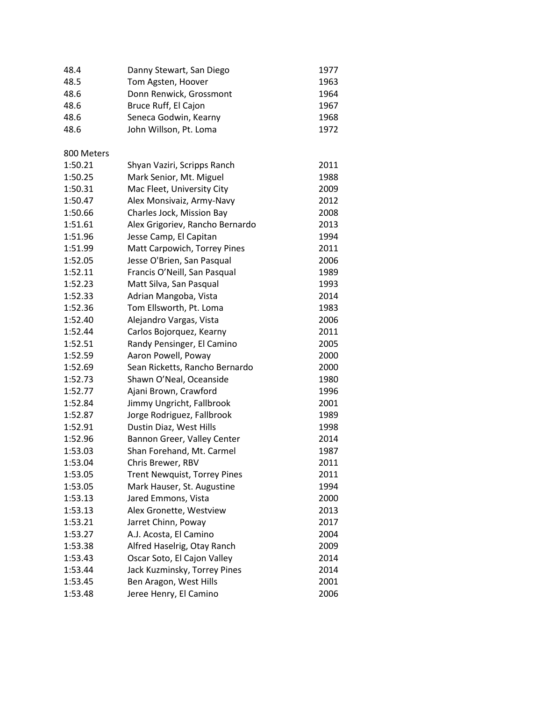| 48.4       | Danny Stewart, San Diego            | 1977 |
|------------|-------------------------------------|------|
| 48.5       | Tom Agsten, Hoover                  | 1963 |
| 48.6       | Donn Renwick, Grossmont             | 1964 |
| 48.6       | Bruce Ruff, El Cajon                | 1967 |
| 48.6       | Seneca Godwin, Kearny               | 1968 |
| 48.6       | John Willson, Pt. Loma              | 1972 |
| 800 Meters |                                     |      |
| 1:50.21    | Shyan Vaziri, Scripps Ranch         | 2011 |
| 1:50.25    | Mark Senior, Mt. Miguel             | 1988 |
| 1:50.31    | Mac Fleet, University City          | 2009 |
| 1:50.47    | Alex Monsivaiz, Army-Navy           | 2012 |
| 1:50.66    | Charles Jock, Mission Bay           | 2008 |
| 1:51.61    | Alex Grigoriev, Rancho Bernardo     | 2013 |
| 1:51.96    | Jesse Camp, El Capitan              | 1994 |
| 1:51.99    | Matt Carpowich, Torrey Pines        | 2011 |
| 1:52.05    | Jesse O'Brien, San Pasqual          | 2006 |
| 1:52.11    | Francis O'Neill, San Pasqual        | 1989 |
| 1:52.23    | Matt Silva, San Pasqual             | 1993 |
| 1:52.33    | Adrian Mangoba, Vista               | 2014 |
| 1:52.36    | Tom Ellsworth, Pt. Loma             | 1983 |
| 1:52.40    | Alejandro Vargas, Vista             | 2006 |
| 1:52.44    | Carlos Bojorquez, Kearny            | 2011 |
| 1:52.51    | Randy Pensinger, El Camino          | 2005 |
| 1:52.59    | Aaron Powell, Poway                 | 2000 |
| 1:52.69    | Sean Ricketts, Rancho Bernardo      | 2000 |
| 1:52.73    | Shawn O'Neal, Oceanside             | 1980 |
| 1:52.77    | Ajani Brown, Crawford               | 1996 |
| 1:52.84    | Jimmy Ungricht, Fallbrook           | 2001 |
| 1:52.87    | Jorge Rodriguez, Fallbrook          | 1989 |
| 1:52.91    | Dustin Diaz, West Hills             | 1998 |
| 1:52.96    | Bannon Greer, Valley Center         | 2014 |
| 1:53.03    | Shan Forehand, Mt. Carmel           | 1987 |
| 1:53.04    | Chris Brewer, RBV                   | 2011 |
| 1:53.05    | <b>Trent Newquist, Torrey Pines</b> | 2011 |
| 1:53.05    | Mark Hauser, St. Augustine          | 1994 |
| 1:53.13    | Jared Emmons, Vista                 | 2000 |
| 1:53.13    | Alex Gronette, Westview             | 2013 |
| 1:53.21    | Jarret Chinn, Poway                 | 2017 |
| 1:53.27    | A.J. Acosta, El Camino              | 2004 |
| 1:53.38    | Alfred Haselrig, Otay Ranch         | 2009 |
| 1:53.43    | Oscar Soto, El Cajon Valley         | 2014 |
| 1:53.44    | Jack Kuzminsky, Torrey Pines        | 2014 |
| 1:53.45    | Ben Aragon, West Hills              | 2001 |
| 1:53.48    | Jeree Henry, El Camino              | 2006 |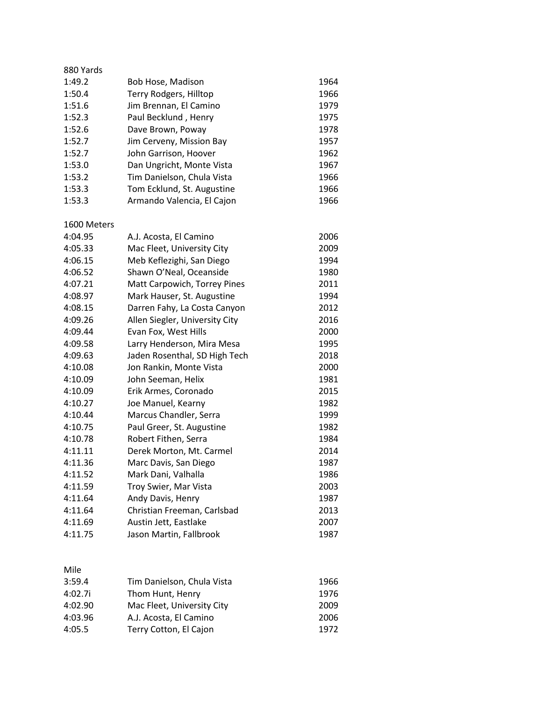| 880 Yards   |                                |      |
|-------------|--------------------------------|------|
| 1:49.2      | Bob Hose, Madison              | 1964 |
| 1:50.4      | Terry Rodgers, Hilltop         | 1966 |
| 1:51.6      | Jim Brennan, El Camino         | 1979 |
| 1:52.3      | Paul Becklund, Henry           | 1975 |
| 1:52.6      | Dave Brown, Poway              | 1978 |
| 1:52.7      | Jim Cerveny, Mission Bay       | 1957 |
| 1:52.7      | John Garrison, Hoover          | 1962 |
| 1:53.0      | Dan Ungricht, Monte Vista      | 1967 |
| 1:53.2      | Tim Danielson, Chula Vista     | 1966 |
| 1:53.3      | Tom Ecklund, St. Augustine     | 1966 |
| 1:53.3      | Armando Valencia, El Cajon     | 1966 |
| 1600 Meters |                                |      |
| 4:04.95     | A.J. Acosta, El Camino         | 2006 |
| 4:05.33     | Mac Fleet, University City     | 2009 |
| 4:06.15     | Meb Keflezighi, San Diego      | 1994 |
| 4:06.52     | Shawn O'Neal, Oceanside        | 1980 |
| 4:07.21     | Matt Carpowich, Torrey Pines   | 2011 |
| 4:08.97     | Mark Hauser, St. Augustine     | 1994 |
| 4:08.15     | Darren Fahy, La Costa Canyon   | 2012 |
| 4:09.26     | Allen Siegler, University City | 2016 |
| 4:09.44     | Evan Fox, West Hills           | 2000 |
| 4:09.58     | Larry Henderson, Mira Mesa     | 1995 |
| 4:09.63     | Jaden Rosenthal, SD High Tech  | 2018 |
| 4:10.08     | Jon Rankin, Monte Vista        | 2000 |
| 4:10.09     | John Seeman, Helix             | 1981 |
| 4:10.09     | Erik Armes, Coronado           | 2015 |
| 4:10.27     | Joe Manuel, Kearny             | 1982 |
| 4:10.44     | Marcus Chandler, Serra         | 1999 |
| 4:10.75     | Paul Greer, St. Augustine      | 1982 |
| 4:10.78     | Robert Fithen, Serra           | 1984 |
| 4:11.11     | Derek Morton, Mt. Carmel       | 2014 |
| 4:11.36     | Marc Davis, San Diego          | 1987 |
| 4:11.52     | Mark Dani, Valhalla            | 1986 |
| 4:11.59     | Troy Swier, Mar Vista          | 2003 |
| 4:11.64     | Andy Davis, Henry              | 1987 |
| 4:11.64     | Christian Freeman, Carlsbad    | 2013 |
| 4:11.69     | Austin Jett, Eastlake          | 2007 |
| 4:11.75     | Jason Martin, Fallbrook        | 1987 |

|  | M.<br>۰. |
|--|----------|

| 3:59.4  | Tim Danielson, Chula Vista | 1966 |
|---------|----------------------------|------|
| 4:02.7i | Thom Hunt, Henry           | 1976 |
| 4:02.90 | Mac Fleet, University City | 2009 |
| 4:03.96 | A.J. Acosta, El Camino     | 2006 |
| 4:05.5  | Terry Cotton, El Cajon     | 1972 |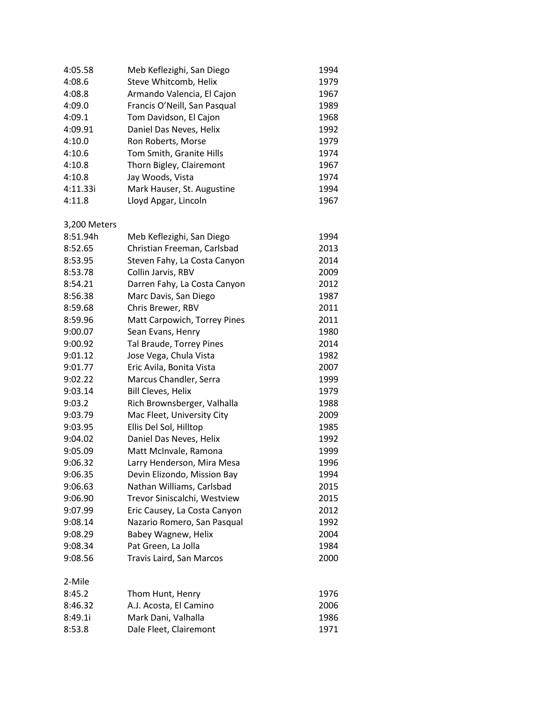| 4:05.58      | Meb Keflezighi, San Diego       | 1994 |
|--------------|---------------------------------|------|
| 4:08.6       | Steve Whitcomb, Helix           | 1979 |
| 4:08.8       | Armando Valencia, El Cajon      | 1967 |
| 4:09.0       | Francis O'Neill, San Pasqual    | 1989 |
| 4:09.1       | Tom Davidson, El Cajon          | 1968 |
| 4:09.91      | Daniel Das Neves, Helix         | 1992 |
| 4:10.0       | Ron Roberts, Morse              | 1979 |
| 4:10.6       | Tom Smith, Granite Hills        | 1974 |
| 4:10.8       | Thorn Bigley, Clairemont        | 1967 |
| 4:10.8       | Jay Woods, Vista                | 1974 |
| 4:11.33i     | Mark Hauser, St. Augustine      | 1994 |
| 4:11.8       | Lloyd Apgar, Lincoln            | 1967 |
| 3,200 Meters |                                 |      |
| 8:51.94h     | Meb Keflezighi, San Diego       | 1994 |
| 8:52.65      | Christian Freeman, Carlsbad     | 2013 |
| 8:53.95      | Steven Fahy, La Costa Canyon    | 2014 |
| 8:53.78      | Collin Jarvis, RBV              | 2009 |
| 8:54.21      | Darren Fahy, La Costa Canyon    | 2012 |
| 8:56.38      | Marc Davis, San Diego           | 1987 |
| 8:59.68      | Chris Brewer, RBV               | 2011 |
| 8:59.96      | Matt Carpowich, Torrey Pines    | 2011 |
| 9:00.07      | Sean Evans, Henry               | 1980 |
| 9:00.92      | Tal Braude, Torrey Pines        | 2014 |
| 9:01.12      | Jose Vega, Chula Vista          | 1982 |
| 9:01.77      | Eric Avila, Bonita Vista        | 2007 |
| 9:02.22      | Marcus Chandler, Serra          | 1999 |
| 9:03.14      | <b>Bill Cleves, Helix</b>       | 1979 |
| 9:03.2       | Rich Brownsberger, Valhalla     | 1988 |
| 9:03.79      | Mac Fleet, University City      | 2009 |
| 9:03.95      | Ellis Del Sol, Hilltop          | 1985 |
| 9:04.02      | Daniel Das Neves, Helix         | 1992 |
| 9:05.09      | Matt McInvale, Ramona           | 1999 |
| 9:06.32      | Larry Henderson, Mira Mesa      | 1996 |
| 9:06.35      | Devin Elizondo, Mission Bay     | 1994 |
| 9:06.63      | Nathan Williams, Carlsbad       | 2015 |
| 9:06.90      | Trevor Siniscalchi, Westview    | 2015 |
| 9:07.99      | Eric Causey, La Costa Canyon    | 2012 |
| 9:08.14      | Nazario Romero, San Pasqual     | 1992 |
| 9:08.29      | Babey Wagnew, Helix             | 2004 |
| 9:08.34      | Pat Green, La Jolla             | 1984 |
| 9:08.56      | <b>Travis Laird, San Marcos</b> | 2000 |
| 2-Mile       |                                 |      |
| 8:45.2       | Thom Hunt, Henry                | 1976 |
| 8:46.32      | A.J. Acosta, El Camino          | 2006 |
| 8:49.1i      | Mark Dani, Valhalla             | 1986 |
| 8:53.8       | Dale Fleet, Clairemont          | 1971 |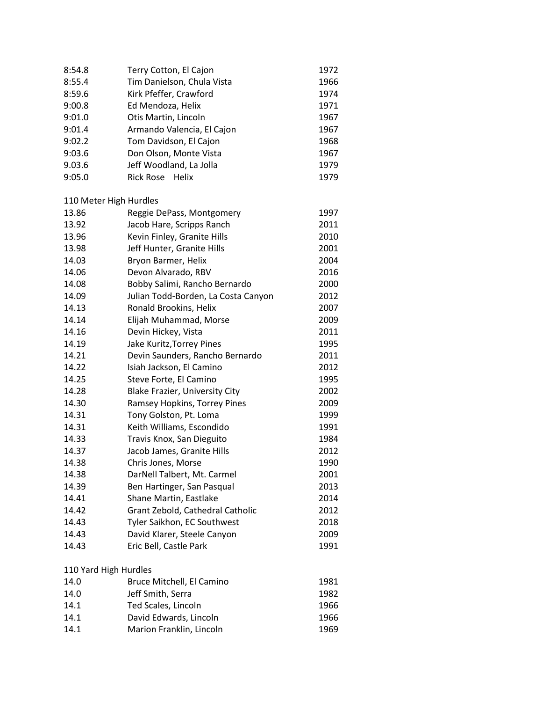| 8:54.8                 | Terry Cotton, El Cajon                | 1972 |
|------------------------|---------------------------------------|------|
| 8:55.4                 | Tim Danielson, Chula Vista            | 1966 |
| 8:59.6                 | Kirk Pfeffer, Crawford                | 1974 |
| 9:00.8                 | Ed Mendoza, Helix                     | 1971 |
| 9:01.0                 | Otis Martin, Lincoln                  | 1967 |
| 9:01.4                 | Armando Valencia, El Cajon            | 1967 |
| 9:02.2                 | Tom Davidson, El Cajon                | 1968 |
| 9:03.6                 | Don Olson, Monte Vista                | 1967 |
| 9.03.6                 | Jeff Woodland, La Jolla               | 1979 |
| 9:05.0                 | <b>Rick Rose</b><br>Helix             | 1979 |
| 110 Meter High Hurdles |                                       |      |
| 13.86                  | Reggie DePass, Montgomery             | 1997 |
| 13.92                  | Jacob Hare, Scripps Ranch             | 2011 |
| 13.96                  | Kevin Finley, Granite Hills           | 2010 |
| 13.98                  | Jeff Hunter, Granite Hills            | 2001 |
| 14.03                  | Bryon Barmer, Helix                   | 2004 |
| 14.06                  | Devon Alvarado, RBV                   | 2016 |
| 14.08                  | Bobby Salimi, Rancho Bernardo         | 2000 |
| 14.09                  | Julian Todd-Borden, La Costa Canyon   | 2012 |
| 14.13                  | Ronald Brookins, Helix                | 2007 |
| 14.14                  | Elijah Muhammad, Morse                | 2009 |
| 14.16                  | Devin Hickey, Vista                   | 2011 |
| 14.19                  | Jake Kuritz, Torrey Pines             | 1995 |
| 14.21                  | Devin Saunders, Rancho Bernardo       | 2011 |
| 14.22                  | Isiah Jackson, El Camino              | 2012 |
| 14.25                  | Steve Forte, El Camino                | 1995 |
| 14.28                  | <b>Blake Frazier, University City</b> | 2002 |
| 14.30                  | Ramsey Hopkins, Torrey Pines          | 2009 |
| 14.31                  | Tony Golston, Pt. Loma                | 1999 |
| 14.31                  | Keith Williams, Escondido             | 1991 |
| 14.33                  | Travis Knox, San Dieguito             | 1984 |
| 14.37                  | Jacob James, Granite Hills            | 2012 |
| 14.38                  | Chris Jones, Morse                    | 1990 |
| 14.38                  | DarNell Talbert, Mt. Carmel           | 2001 |
| 14.39                  | Ben Hartinger, San Pasqual            | 2013 |
| 14.41                  | Shane Martin, Eastlake                | 2014 |
| 14.42                  | Grant Zebold, Cathedral Catholic      | 2012 |
| 14.43                  | Tyler Saikhon, EC Southwest           | 2018 |
| 14.43                  | David Klarer, Steele Canyon           | 2009 |
| 14.43                  | Eric Bell, Castle Park                | 1991 |
|                        |                                       |      |
| 110 Yard High Hurdles  |                                       |      |
| 14.0                   | Bruce Mitchell, El Camino             | 1981 |
| 14.0                   | Jeff Smith, Serra                     | 1982 |
| 14.1                   | Ted Scales, Lincoln                   | 1966 |
| 14.1                   | David Edwards, Lincoln                | 1966 |
| 14.1                   | Marion Franklin, Lincoln              | 1969 |
|                        |                                       |      |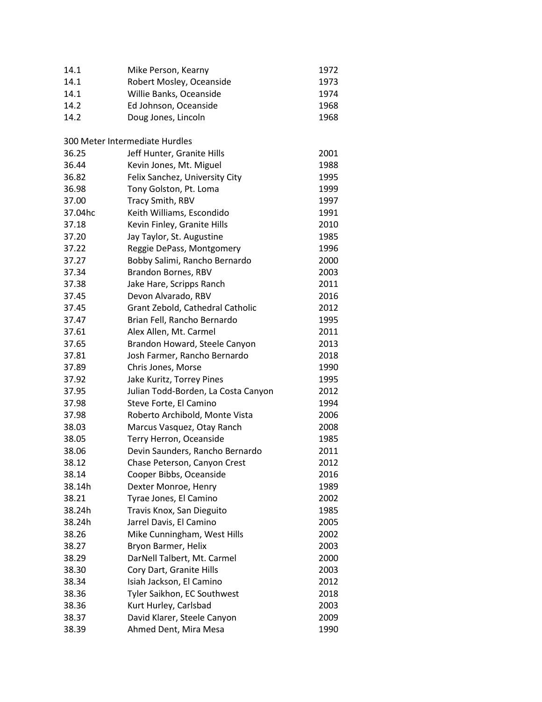| 14.1    | Mike Person, Kearny                 | 1972 |
|---------|-------------------------------------|------|
| 14.1    | Robert Mosley, Oceanside            | 1973 |
| 14.1    | Willie Banks, Oceanside             | 1974 |
| 14.2    | Ed Johnson, Oceanside               | 1968 |
| 14.2    | Doug Jones, Lincoln                 | 1968 |
|         |                                     |      |
|         | 300 Meter Intermediate Hurdles      |      |
| 36.25   | Jeff Hunter, Granite Hills          | 2001 |
| 36.44   | Kevin Jones, Mt. Miguel             | 1988 |
| 36.82   | Felix Sanchez, University City      | 1995 |
| 36.98   | Tony Golston, Pt. Loma              | 1999 |
| 37.00   | Tracy Smith, RBV                    | 1997 |
| 37.04hc | Keith Williams, Escondido           | 1991 |
| 37.18   | Kevin Finley, Granite Hills         | 2010 |
| 37.20   | Jay Taylor, St. Augustine           | 1985 |
| 37.22   | Reggie DePass, Montgomery           | 1996 |
| 37.27   | Bobby Salimi, Rancho Bernardo       | 2000 |
| 37.34   | Brandon Bornes, RBV                 | 2003 |
| 37.38   | Jake Hare, Scripps Ranch            | 2011 |
| 37.45   | Devon Alvarado, RBV                 | 2016 |
| 37.45   | Grant Zebold, Cathedral Catholic    | 2012 |
| 37.47   | Brian Fell, Rancho Bernardo         | 1995 |
| 37.61   | Alex Allen, Mt. Carmel              | 2011 |
| 37.65   | Brandon Howard, Steele Canyon       | 2013 |
| 37.81   | Josh Farmer, Rancho Bernardo        | 2018 |
| 37.89   | Chris Jones, Morse                  | 1990 |
| 37.92   | Jake Kuritz, Torrey Pines           | 1995 |
| 37.95   | Julian Todd-Borden, La Costa Canyon | 2012 |
| 37.98   | Steve Forte, El Camino              | 1994 |
| 37.98   | Roberto Archibold, Monte Vista      | 2006 |
| 38.03   | Marcus Vasquez, Otay Ranch          | 2008 |
| 38.05   | Terry Herron, Oceanside             | 1985 |
| 38.06   | Devin Saunders, Rancho Bernardo     | 2011 |
| 38.12   | Chase Peterson, Canyon Crest        | 2012 |
| 38.14   | Cooper Bibbs, Oceanside             | 2016 |
| 38.14h  | Dexter Monroe, Henry                | 1989 |
| 38.21   | Tyrae Jones, El Camino              | 2002 |
| 38.24h  | Travis Knox, San Dieguito           | 1985 |
| 38.24h  | Jarrel Davis, El Camino             | 2005 |
| 38.26   | Mike Cunningham, West Hills         | 2002 |
| 38.27   | Bryon Barmer, Helix                 | 2003 |
|         |                                     |      |
| 38.29   | DarNell Talbert, Mt. Carmel         | 2000 |
| 38.30   | Cory Dart, Granite Hills            | 2003 |
| 38.34   | Isiah Jackson, El Camino            | 2012 |
| 38.36   | Tyler Saikhon, EC Southwest         | 2018 |
| 38.36   | Kurt Hurley, Carlsbad               | 2003 |
| 38.37   | David Klarer, Steele Canyon         | 2009 |
| 38.39   | Ahmed Dent, Mira Mesa               | 1990 |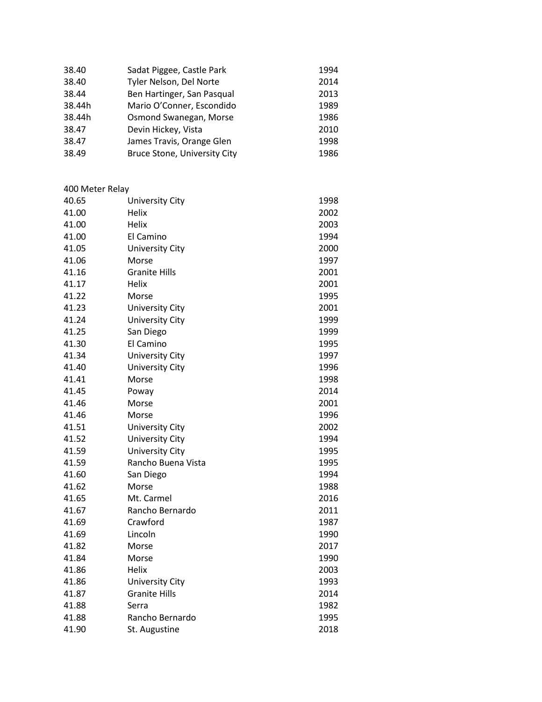| 38.40  | Sadat Piggee, Castle Park           | 1994 |
|--------|-------------------------------------|------|
| 38.40  | Tyler Nelson, Del Norte             | 2014 |
| 38.44  | Ben Hartinger, San Pasqual          | 2013 |
| 38.44h | Mario O'Conner, Escondido           | 1989 |
| 38.44h | Osmond Swanegan, Morse              | 1986 |
| 38.47  | Devin Hickey, Vista                 | 2010 |
| 38.47  | James Travis, Orange Glen           | 1998 |
| 38.49  | <b>Bruce Stone, University City</b> | 1986 |

| 400 Meter Relay |                        |      |
|-----------------|------------------------|------|
| 40.65           | <b>University City</b> | 1998 |
| 41.00           | Helix                  | 2002 |
| 41.00           | <b>Helix</b>           | 2003 |
| 41.00           | El Camino              | 1994 |
| 41.05           | <b>University City</b> | 2000 |
| 41.06           | Morse                  | 1997 |
| 41.16           | <b>Granite Hills</b>   | 2001 |
| 41.17           | <b>Helix</b>           | 2001 |
| 41.22           | Morse                  | 1995 |
| 41.23           | <b>University City</b> | 2001 |
| 41.24           | University City        | 1999 |
| 41.25           | San Diego              | 1999 |
| 41.30           | El Camino              | 1995 |
| 41.34           | <b>University City</b> | 1997 |
| 41.40           | <b>University City</b> | 1996 |
| 41.41           | Morse                  | 1998 |
| 41.45           | Poway                  | 2014 |
| 41.46           | Morse                  | 2001 |
| 41.46           | Morse                  | 1996 |
| 41.51           | University City        | 2002 |
| 41.52           | <b>University City</b> | 1994 |
| 41.59           | <b>University City</b> | 1995 |
| 41.59           | Rancho Buena Vista     | 1995 |
| 41.60           | San Diego              | 1994 |
| 41.62           | Morse                  | 1988 |
| 41.65           | Mt. Carmel             | 2016 |
| 41.67           | Rancho Bernardo        | 2011 |
| 41.69           | Crawford               | 1987 |
| 41.69           | Lincoln                | 1990 |
| 41.82           | Morse                  | 2017 |
| 41.84           | Morse                  | 1990 |
| 41.86           | Helix                  | 2003 |
| 41.86           | <b>University City</b> | 1993 |
| 41.87           | <b>Granite Hills</b>   | 2014 |
| 41.88           | Serra                  | 1982 |
| 41.88           | Rancho Bernardo        | 1995 |
| 41.90           | St. Augustine          | 2018 |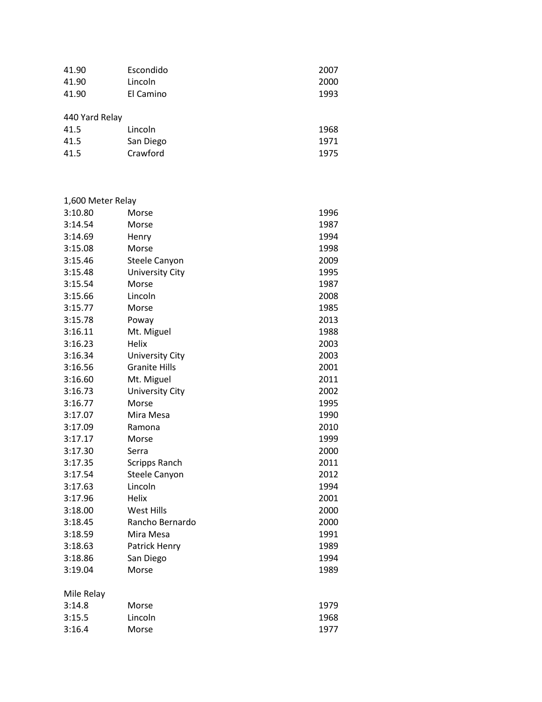| 41.90 | Escondido | 2007 |
|-------|-----------|------|
| 41.90 | Lincoln   | 2000 |
| 41.90 | El Camino | 1993 |
|       |           |      |

| 440 Yard Relay |           |      |  |
|----------------|-----------|------|--|
| 41.5           | Lincoln   | 1968 |  |
| 41.5           | San Diego | 1971 |  |
| 41.5           | Crawford  | 1975 |  |

| 1,600 Meter Relay |                        |      |
|-------------------|------------------------|------|
| 3:10.80           | Morse                  | 1996 |
| 3:14.54           | Morse                  | 1987 |
| 3:14.69           | Henry                  | 1994 |
| 3:15.08           | Morse                  | 1998 |
| 3:15.46           | <b>Steele Canyon</b>   | 2009 |
| 3:15.48           | <b>University City</b> | 1995 |
| 3:15.54           | Morse                  | 1987 |
| 3:15.66           | Lincoln                | 2008 |
| 3:15.77           | Morse                  | 1985 |
| 3:15.78           | Poway                  | 2013 |
| 3:16.11           | Mt. Miguel             | 1988 |
| 3:16.23           | Helix                  | 2003 |
| 3:16.34           | <b>University City</b> | 2003 |
| 3:16.56           | <b>Granite Hills</b>   | 2001 |
| 3:16.60           | Mt. Miguel             | 2011 |
| 3:16.73           | <b>University City</b> | 2002 |
| 3:16.77           | Morse                  | 1995 |
| 3:17.07           | Mira Mesa              | 1990 |
| 3:17.09           | Ramona                 | 2010 |
| 3:17.17           | Morse                  | 1999 |
| 3:17.30           | Serra                  | 2000 |
| 3:17.35           | Scripps Ranch          | 2011 |
| 3:17.54           | <b>Steele Canyon</b>   | 2012 |
| 3:17.63           | Lincoln                | 1994 |
| 3:17.96           | Helix                  | 2001 |
| 3:18.00           | West Hills             | 2000 |
| 3:18.45           | Rancho Bernardo        | 2000 |
| 3:18.59           | Mira Mesa              | 1991 |
| 3:18.63           | Patrick Henry          | 1989 |
| 3:18.86           | San Diego              | 1994 |
| 3:19.04           | Morse                  | 1989 |
| Mile Relay        |                        |      |
| 3:14.8            | Morse                  | 1979 |
| 3:15.5            | Lincoln                | 1968 |
| 3:16.4            | Morse                  | 1977 |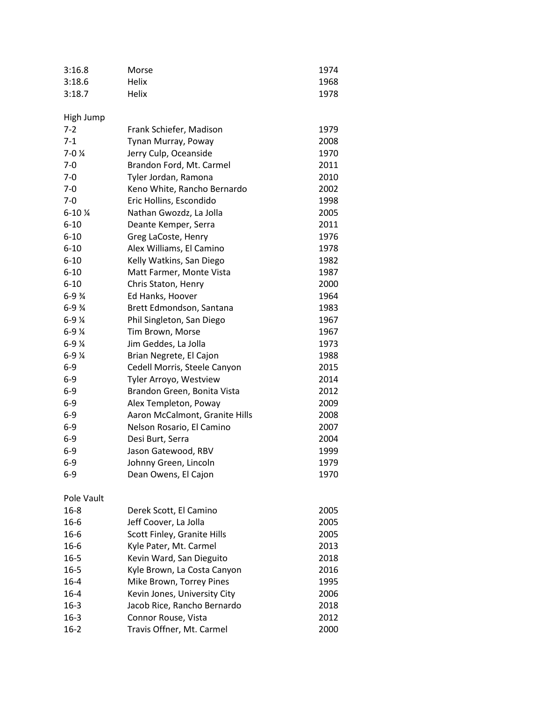| 3:16.8                | Morse                          | 1974 |
|-----------------------|--------------------------------|------|
| 3:18.6                | Helix                          | 1968 |
| 3:18.7                | Helix                          | 1978 |
|                       |                                |      |
| High Jump             |                                |      |
| $7 - 2$               | Frank Schiefer, Madison        | 1979 |
| $7 - 1$               | Tynan Murray, Poway            | 2008 |
| $7 - 0$ $\frac{1}{4}$ | Jerry Culp, Oceanside          | 1970 |
| $7-0$                 | Brandon Ford, Mt. Carmel       | 2011 |
| $7-0$                 | Tyler Jordan, Ramona           | 2010 |
| $7-0$                 | Keno White, Rancho Bernardo    | 2002 |
| $7 - 0$               | Eric Hollins, Escondido        | 1998 |
| $6 - 10$ %            | Nathan Gwozdz, La Jolla        | 2005 |
| $6 - 10$              | Deante Kemper, Serra           | 2011 |
| $6 - 10$              | Greg LaCoste, Henry            | 1976 |
| $6 - 10$              | Alex Williams, El Camino       | 1978 |
| $6 - 10$              | Kelly Watkins, San Diego       | 1982 |
| $6 - 10$              | Matt Farmer, Monte Vista       | 1987 |
| $6 - 10$              | Chris Staton, Henry            | 2000 |
| $6 - 9\frac{3}{4}$    | Ed Hanks, Hoover               | 1964 |
| $6 - 9\frac{3}{4}$    | Brett Edmondson, Santana       | 1983 |
| $6 - 9$ $\frac{1}{4}$ | Phil Singleton, San Diego      | 1967 |
| $6 - 9$ $\frac{1}{4}$ | Tim Brown, Morse               | 1967 |
| $6 - 9$ $\frac{1}{4}$ | Jim Geddes, La Jolla           | 1973 |
| $6 - 9$ $\frac{1}{4}$ | Brian Negrete, El Cajon        | 1988 |
| $6-9$                 | Cedell Morris, Steele Canyon   | 2015 |
| $6-9$                 | Tyler Arroyo, Westview         | 2014 |
| $6-9$                 | Brandon Green, Bonita Vista    | 2012 |
| $6-9$                 | Alex Templeton, Poway          | 2009 |
| $6-9$                 | Aaron McCalmont, Granite Hills | 2008 |
| $6 - 9$               | Nelson Rosario, El Camino      | 2007 |
| $6-9$                 | Desi Burt, Serra               | 2004 |
| $6-9$                 | Jason Gatewood, RBV            | 1999 |
| $6-9$                 | Johnny Green, Lincoln          | 1979 |
| 6-9                   | Dean Owens, El Cajon           | 1970 |
|                       |                                |      |
| Pole Vault            |                                |      |
| $16 - 8$              | Derek Scott, El Camino         | 2005 |
| $16 - 6$              | Jeff Coover, La Jolla          | 2005 |
| $16 - 6$              | Scott Finley, Granite Hills    | 2005 |
| $16 - 6$              | Kyle Pater, Mt. Carmel         | 2013 |
| $16 - 5$              | Kevin Ward, San Dieguito       | 2018 |
| $16 - 5$              | Kyle Brown, La Costa Canyon    | 2016 |
| $16 - 4$              | Mike Brown, Torrey Pines       | 1995 |
| $16 - 4$              | Kevin Jones, University City   | 2006 |
| $16 - 3$              | Jacob Rice, Rancho Bernardo    | 2018 |
| $16 - 3$              | Connor Rouse, Vista            | 2012 |
| $16 - 2$              | Travis Offner, Mt. Carmel      | 2000 |
|                       |                                |      |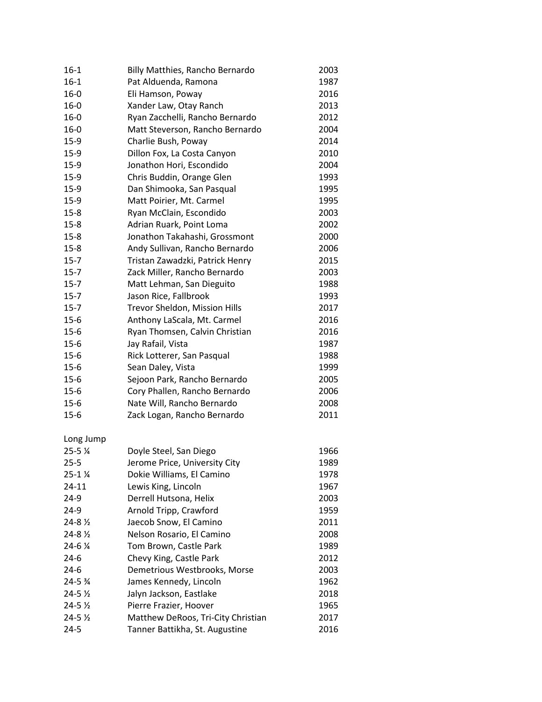| $16 - 1$            | Billy Matthies, Rancho Bernardo    | 2003 |
|---------------------|------------------------------------|------|
| $16 - 1$            | Pat Alduenda, Ramona               | 1987 |
| $16 - 0$            | Eli Hamson, Poway                  | 2016 |
| $16 - 0$            | Xander Law, Otay Ranch             | 2013 |
| $16 - 0$            | Ryan Zacchelli, Rancho Bernardo    | 2012 |
| $16 - 0$            | Matt Steverson, Rancho Bernardo    | 2004 |
| $15-9$              | Charlie Bush, Poway                | 2014 |
| $15-9$              | Dillon Fox, La Costa Canyon        | 2010 |
| $15-9$              | Jonathon Hori, Escondido           | 2004 |
| $15-9$              | Chris Buddin, Orange Glen          | 1993 |
| $15-9$              | Dan Shimooka, San Pasqual          | 1995 |
| $15-9$              | Matt Poirier, Mt. Carmel           | 1995 |
| $15 - 8$            | Ryan McClain, Escondido            | 2003 |
| $15 - 8$            | Adrian Ruark, Point Loma           | 2002 |
| $15 - 8$            | Jonathon Takahashi, Grossmont      | 2000 |
| $15 - 8$            | Andy Sullivan, Rancho Bernardo     | 2006 |
| $15 - 7$            | Tristan Zawadzki, Patrick Henry    | 2015 |
| $15 - 7$            | Zack Miller, Rancho Bernardo       | 2003 |
| $15 - 7$            | Matt Lehman, San Dieguito          | 1988 |
| $15 - 7$            | Jason Rice, Fallbrook              | 1993 |
| $15 - 7$            | Trevor Sheldon, Mission Hills      | 2017 |
| $15 - 6$            | Anthony LaScala, Mt. Carmel        | 2016 |
| $15 - 6$            | Ryan Thomsen, Calvin Christian     | 2016 |
| $15 - 6$            | Jay Rafail, Vista                  | 1987 |
| $15 - 6$            | Rick Lotterer, San Pasqual         | 1988 |
| $15 - 6$            | Sean Daley, Vista                  | 1999 |
| $15 - 6$            | Sejoon Park, Rancho Bernardo       | 2005 |
| $15 - 6$            | Cory Phallen, Rancho Bernardo      | 2006 |
| $15 - 6$            | Nate Will, Rancho Bernardo         | 2008 |
| $15 - 6$            | Zack Logan, Rancho Bernardo        | 2011 |
| Long Jump           |                                    |      |
| 25-5 %              | Doyle Steel, San Diego             | 1966 |
| $25 - 5$            | Jerome Price, University City      | 1989 |
| $25 - 1$ %          | Dokie Williams, El Camino          | 1978 |
| $24 - 11$           | Lewis King, Lincoln                | 1967 |
| $24-9$              | Derrell Hutsona, Helix             | 2003 |
| $24-9$              | Arnold Tripp, Crawford             | 1959 |
| 24-8 ½              | Jaecob Snow, El Camino             | 2011 |
| 24-8 1/2            | Nelson Rosario, El Camino          | 2008 |
| 24-6 %              | Tom Brown, Castle Park             | 1989 |
| $24-6$              | Chevy King, Castle Park            | 2012 |
| $24-6$              | Demetrious Westbrooks, Morse       | 2003 |
| 24-5 %              | James Kennedy, Lincoln             | 1962 |
| 24-5 ½              | Jalyn Jackson, Eastlake            | 2018 |
| $24 - 5\frac{1}{2}$ | Pierre Frazier, Hoover             | 1965 |
| $24 - 5\frac{1}{2}$ | Matthew DeRoos, Tri-City Christian | 2017 |
| $24 - 5$            | Tanner Battikha, St. Augustine     | 2016 |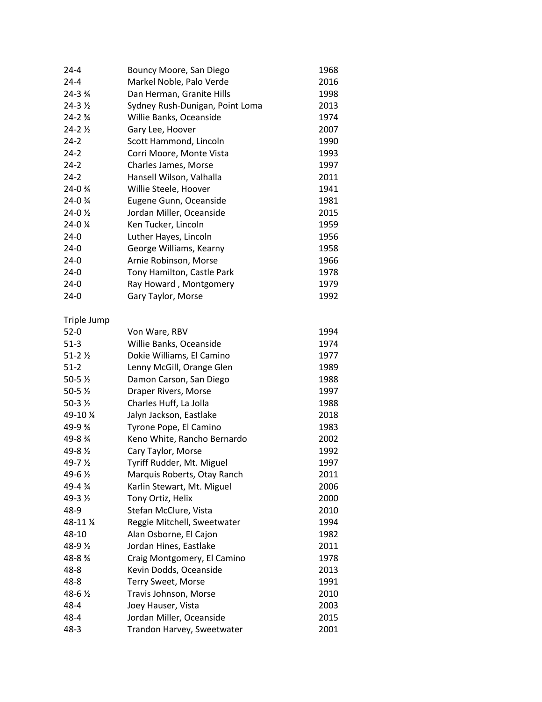| 24-4                | Bouncy Moore, San Diego         | 1968 |
|---------------------|---------------------------------|------|
| $24 - 4$            | Markel Noble, Palo Verde        | 2016 |
| 24-3 3/4            | Dan Herman, Granite Hills       | 1998 |
| 24-3 1/2            | Sydney Rush-Dunigan, Point Loma | 2013 |
| $24 - 23/4$         | Willie Banks, Oceanside         | 1974 |
| $24 - 21/2$         | Gary Lee, Hoover                | 2007 |
| $24 - 2$            | Scott Hammond, Lincoln          | 1990 |
| $24 - 2$            | Corri Moore, Monte Vista        | 1993 |
| $24 - 2$            | Charles James, Morse            | 1997 |
| $24 - 2$            | Hansell Wilson, Valhalla        | 2011 |
| 24-0 %              | Willie Steele, Hoover           | 1941 |
| 24-0 %              | Eugene Gunn, Oceanside          | 1981 |
| 24-0 1/2            | Jordan Miller, Oceanside        | 2015 |
| 24-0 %              | Ken Tucker, Lincoln             | 1959 |
| $24-0$              | Luther Hayes, Lincoln           | 1956 |
| $24-0$              | George Williams, Kearny         | 1958 |
| $24-0$              | Arnie Robinson, Morse           | 1966 |
| $24-0$              | Tony Hamilton, Castle Park      | 1978 |
| $24-0$              | Ray Howard, Montgomery          | 1979 |
| $24-0$              | Gary Taylor, Morse              | 1992 |
| Triple Jump         |                                 |      |
| $52-0$              | Von Ware, RBV                   | 1994 |
| $51-3$              | Willie Banks, Oceanside         | 1974 |
| $51 - 22$           | Dokie Williams, El Camino       | 1977 |
| $51-2$              | Lenny McGill, Orange Glen       | 1989 |
| 50-5 $\frac{1}{2}$  | Damon Carson, San Diego         | 1988 |
| 50-5 $\frac{1}{2}$  | Draper Rivers, Morse            | 1997 |
| $50 - 3\frac{1}{2}$ | Charles Huff, La Jolla          | 1988 |
| 49-10 %             | Jalyn Jackson, Eastlake         | 2018 |
| 49-9 %              | Tyrone Pope, El Camino          | 1983 |
| 49-8 %              | Keno White, Rancho Bernardo     | 2002 |
| 49-8 1/2            | Cary Taylor, Morse              | 1992 |
| 49-7 1/2            | Tyriff Rudder, Mt. Miguel       | 1997 |
| 49-6 1/2            | Marquis Roberts, Otay Ranch     | 2011 |
| 49-4 %              | Karlin Stewart, Mt. Miguel      | 2006 |
| 49-3 1/2            | Tony Ortiz, Helix               | 2000 |
| 48-9                | Stefan McClure, Vista           | 2010 |
| 48-11 %             | Reggie Mitchell, Sweetwater     | 1994 |
| 48-10               | Alan Osborne, El Cajon          | 1982 |
| 48-9 1/2            | Jordan Hines, Eastlake          | 2011 |
| 48-8 %              | Craig Montgomery, El Camino     | 1978 |
| $48 - 8$            | Kevin Dodds, Oceanside          | 2013 |
| $48 - 8$            | Terry Sweet, Morse              | 1991 |
| 48-6 1/2            | Travis Johnson, Morse           | 2010 |
| $48 - 4$            | Joey Hauser, Vista              | 2003 |
| $48 - 4$            | Jordan Miller, Oceanside        | 2015 |
| $48 - 3$            | Trandon Harvey, Sweetwater      | 2001 |
|                     |                                 |      |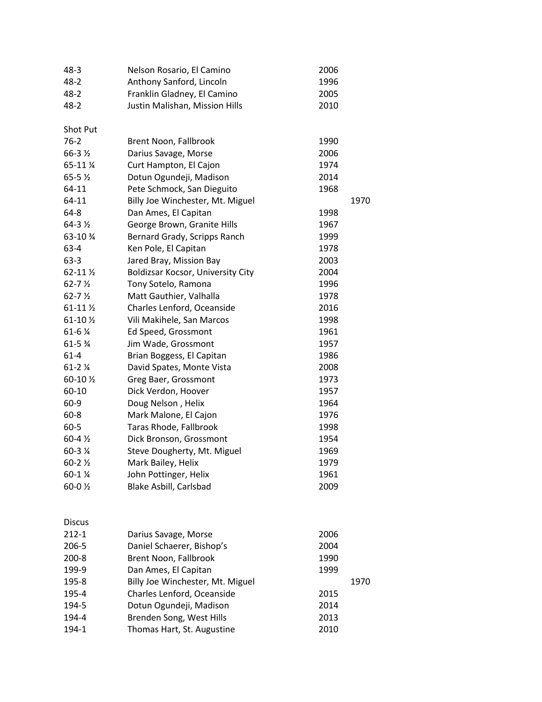| $48 - 3$                   | Nelson Rosario, El Camino         | 2006 |      |
|----------------------------|-----------------------------------|------|------|
| $48 - 2$                   | Anthony Sanford, Lincoln          | 1996 |      |
| $48 - 2$                   | Franklin Gladney, El Camino       | 2005 |      |
| $48 - 2$                   | Justin Malishan, Mission Hills    | 2010 |      |
| Shot Put                   |                                   |      |      |
| $76 - 2$                   | Brent Noon, Fallbrook             | 1990 |      |
| 66-3 1/2                   | Darius Savage, Morse              | 2006 |      |
| 65-11 %                    | Curt Hampton, El Cajon            | 1974 |      |
| 65-5 $\frac{1}{2}$         | Dotun Ogundeji, Madison           | 2014 |      |
| 64-11                      | Pete Schmock, San Dieguito        | 1968 |      |
| 64-11                      | Billy Joe Winchester, Mt. Miguel  |      | 1970 |
| 64-8                       | Dan Ames, El Capitan              | 1998 |      |
| $64-31/2$                  | George Brown, Granite Hills       | 1967 |      |
| 63-10 %                    | Bernard Grady, Scripps Ranch      | 1999 |      |
| 63-4                       | Ken Pole, El Capitan              | 1978 |      |
| $63-3$                     | Jared Bray, Mission Bay           | 2003 |      |
| 62-11 1/2                  | Boldizsar Kocsor, University City | 2004 |      |
| $62 - 7\frac{1}{2}$        | Tony Sotelo, Ramona               | 1996 |      |
| $62 - 7\frac{1}{2}$        | Matt Gauthier, Valhalla           | 1978 |      |
| 61-11 1/2                  | Charles Lenford, Oceanside        | 2016 |      |
| 61-10 1/2                  | Vili Makihele, San Marcos         | 1998 |      |
| 61-6 %                     | Ed Speed, Grossmont               | 1961 |      |
| 61-5 %                     | Jim Wade, Grossmont               | 1957 |      |
| $61 - 4$                   | Brian Boggess, El Capitan         | 1986 |      |
| $61 - 21/4$                | David Spates, Monte Vista         | 2008 |      |
| 60-10 1/2                  | Greg Baer, Grossmont              | 1973 |      |
| 60-10                      | Dick Verdon, Hoover               | 1957 |      |
| $60 - 9$                   | Doug Nelson, Helix                | 1964 |      |
| $60 - 8$                   | Mark Malone, El Cajon             | 1976 |      |
| $60 - 5$                   | Taras Rhode, Fallbrook            | 1998 |      |
| $60 - 4\frac{1}{2}$        | Dick Bronson, Grossmont           | 1954 |      |
| 60-3 %                     | Steve Dougherty, Mt. Miguel       | 1969 |      |
| $60 - 2\frac{1}{2}$        | Mark Bailey, Helix                | 1979 |      |
| $60 - 1$ %                 | John Pottinger, Helix             | 1961 |      |
| 60-0 1/2                   | Blake Asbill, Carlsbad            | 2009 |      |
|                            |                                   |      |      |
| <b>Discus</b><br>$212 - 1$ | Darius Savage, Morse              | 2006 |      |
| 206-5                      | Daniel Schaerer, Bishop's         | 2004 |      |
| $200 - 8$                  | Brent Noon, Fallbrook             | 1990 |      |
| 199-9                      | Dan Ames, El Capitan              | 1999 |      |
| 195-8                      | Billy Joe Winchester, Mt. Miguel  |      | 1970 |
| 195-4                      | Charles Lenford, Oceanside        | 2015 |      |
| 194-5                      | Dotun Ogundeji, Madison           | 2014 |      |
| 194-4                      | Brenden Song, West Hills          | 2013 |      |
| 194-1                      | Thomas Hart, St. Augustine        | 2010 |      |
|                            |                                   |      |      |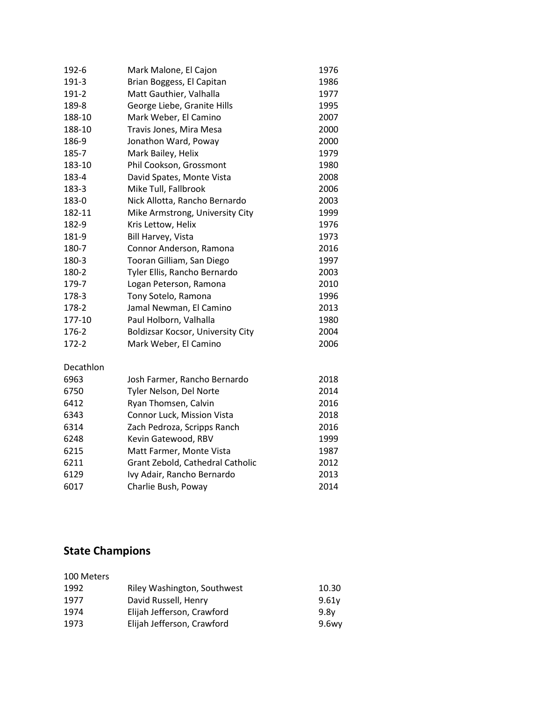| Mark Malone, El Cajon             | 1976 |
|-----------------------------------|------|
| Brian Boggess, El Capitan         | 1986 |
| Matt Gauthier, Valhalla           | 1977 |
| George Liebe, Granite Hills       | 1995 |
| Mark Weber, El Camino             | 2007 |
| Travis Jones, Mira Mesa           | 2000 |
| Jonathon Ward, Poway              | 2000 |
| Mark Bailey, Helix                | 1979 |
| Phil Cookson, Grossmont           | 1980 |
| David Spates, Monte Vista         | 2008 |
| Mike Tull, Fallbrook              | 2006 |
| Nick Allotta, Rancho Bernardo     | 2003 |
| Mike Armstrong, University City   | 1999 |
| Kris Lettow, Helix                | 1976 |
| Bill Harvey, Vista                | 1973 |
| Connor Anderson, Ramona           | 2016 |
| Tooran Gilliam, San Diego         | 1997 |
| Tyler Ellis, Rancho Bernardo      | 2003 |
| Logan Peterson, Ramona            | 2010 |
| Tony Sotelo, Ramona               | 1996 |
| Jamal Newman, El Camino           | 2013 |
| Paul Holborn, Valhalla            | 1980 |
| Boldizsar Kocsor, University City | 2004 |
| Mark Weber, El Camino             | 2006 |
|                                   |      |
| Josh Farmer, Rancho Bernardo      | 2018 |
| Tyler Nelson, Del Norte           | 2014 |
| Ryan Thomsen, Calvin              | 2016 |
| Connor Luck, Mission Vista        | 2018 |
| Zach Pedroza, Scripps Ranch       | 2016 |
| Kevin Gatewood, RBV               | 1999 |
| Matt Farmer, Monte Vista          | 1987 |
| Grant Zebold, Cathedral Catholic  | 2012 |
| Ivy Adair, Rancho Bernardo        | 2013 |
| Charlie Bush, Poway               | 2014 |
|                                   |      |

## **State Champions**

| 100 Meters |                             |          |
|------------|-----------------------------|----------|
| 1992       | Riley Washington, Southwest | 10.30    |
| 1977       | David Russell, Henry        | 9.61v    |
| 1974       | Elijah Jefferson, Crawford  | 9.8v     |
| 1973       | Elijah Jefferson, Crawford  | $9.6$ wy |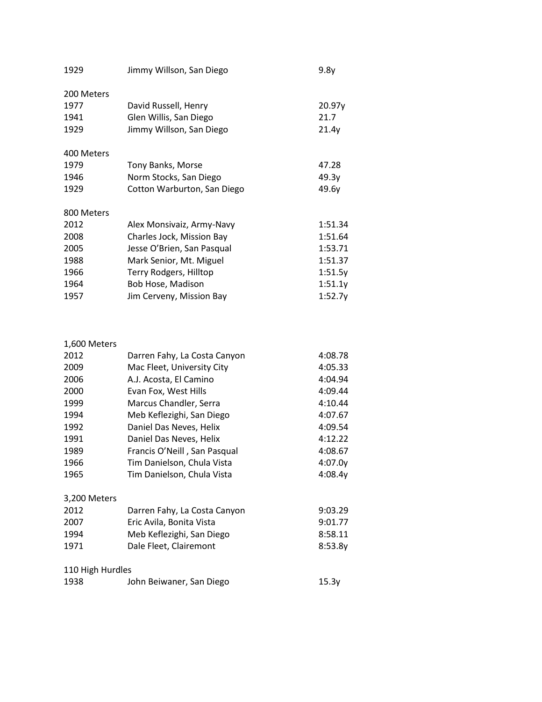| 1929       | Jimmy Willson, San Diego    | 9.8y    |
|------------|-----------------------------|---------|
| 200 Meters |                             |         |
| 1977       | David Russell, Henry        | 20.97y  |
| 1941       | Glen Willis, San Diego      | 21.7    |
| 1929       | Jimmy Willson, San Diego    | 21.4y   |
| 400 Meters |                             |         |
| 1979       | Tony Banks, Morse           | 47.28   |
| 1946       | Norm Stocks, San Diego      | 49.3y   |
| 1929       | Cotton Warburton, San Diego | 49.6y   |
| 800 Meters |                             |         |
| 2012       | Alex Monsivaiz, Army-Navy   | 1:51.34 |
| 2008       | Charles Jock, Mission Bay   | 1:51.64 |
| 2005       | Jesse O'Brien, San Pasqual  | 1:53.71 |
| 1988       | Mark Senior, Mt. Miguel     | 1:51.37 |
| 1966       | Terry Rodgers, Hilltop      | 1:51.5y |
| 1964       | Bob Hose, Madison           | 1:51.1y |
| 1957       | Jim Cerveny, Mission Bay    | 1:52.7y |

#### 1,600 Meters

| 2012             | Darren Fahy, La Costa Canyon | 4:08.78 |  |  |
|------------------|------------------------------|---------|--|--|
| 2009             | Mac Fleet, University City   | 4:05.33 |  |  |
| 2006             | A.J. Acosta, El Camino       | 4:04.94 |  |  |
| 2000             | Evan Fox, West Hills         | 4:09.44 |  |  |
| 1999             | Marcus Chandler, Serra       | 4:10.44 |  |  |
| 1994             | Meb Keflezighi, San Diego    | 4:07.67 |  |  |
| 1992             | Daniel Das Neves, Helix      | 4:09.54 |  |  |
| 1991             | Daniel Das Neves, Helix      | 4:12.22 |  |  |
| 1989             | Francis O'Neill, San Pasqual | 4:08.67 |  |  |
| 1966             | Tim Danielson, Chula Vista   | 4:07.0y |  |  |
| 1965             | Tim Danielson, Chula Vista   | 4:08.4y |  |  |
|                  |                              |         |  |  |
| 3,200 Meters     |                              |         |  |  |
| 2012             | Darren Fahy, La Costa Canyon | 9:03.29 |  |  |
| 2007             | Eric Avila, Bonita Vista     | 9:01.77 |  |  |
| 1994             | Meb Keflezighi, San Diego    | 8:58.11 |  |  |
| 1971             | Dale Fleet, Clairemont       | 8:53.8y |  |  |
| 110 High Hurdles |                              |         |  |  |
|                  |                              |         |  |  |
| 1938             | John Beiwaner, San Diego     | 15.3y   |  |  |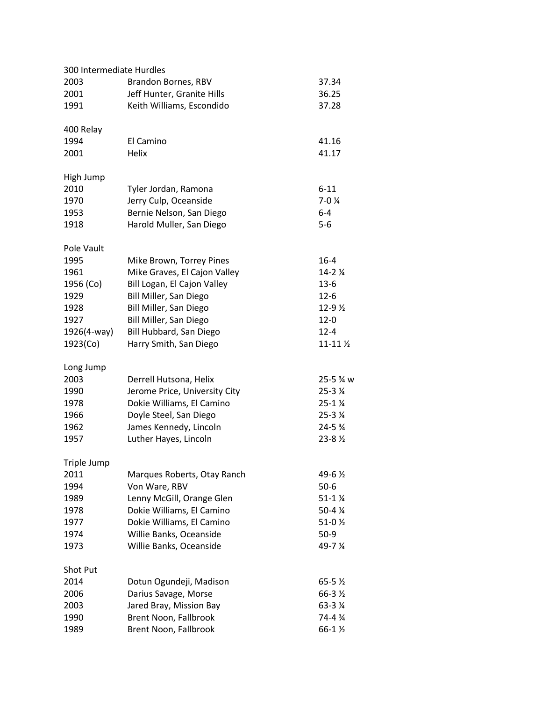| 300 Intermediate Hurdles |                               |                                    |  |  |  |
|--------------------------|-------------------------------|------------------------------------|--|--|--|
| 2003                     | Brandon Bornes, RBV<br>37.34  |                                    |  |  |  |
| 2001                     | Jeff Hunter, Granite Hills    | 36.25                              |  |  |  |
| 1991                     | Keith Williams, Escondido     | 37.28                              |  |  |  |
|                          |                               |                                    |  |  |  |
| 400 Relay                |                               |                                    |  |  |  |
| 1994                     | El Camino                     | 41.16                              |  |  |  |
| 2001                     | Helix                         | 41.17                              |  |  |  |
| High Jump                |                               |                                    |  |  |  |
| 2010                     | Tyler Jordan, Ramona          | $6 - 11$                           |  |  |  |
| 1970                     | Jerry Culp, Oceanside         | $7-04$                             |  |  |  |
| 1953                     | Bernie Nelson, San Diego      | $6 - 4$                            |  |  |  |
| 1918                     | Harold Muller, San Diego      | $5-6$                              |  |  |  |
| Pole Vault               |                               |                                    |  |  |  |
| 1995                     | Mike Brown, Torrey Pines      | $16 - 4$                           |  |  |  |
| 1961                     | Mike Graves, El Cajon Valley  |                                    |  |  |  |
|                          | Bill Logan, El Cajon Valley   | $14 - 21/4$<br>$13-6$              |  |  |  |
| 1956 (Co)                |                               |                                    |  |  |  |
| 1929                     | Bill Miller, San Diego        | $12 - 6$                           |  |  |  |
| 1928                     | Bill Miller, San Diego        | 12-9 $\frac{1}{2}$                 |  |  |  |
| 1927                     | Bill Miller, San Diego        | $12 - 0$                           |  |  |  |
| 1926(4-way)              | Bill Hubbard, San Diego       | $12 - 4$                           |  |  |  |
| 1923(Co)                 | Harry Smith, San Diego        | $11 - 11\%$                        |  |  |  |
| Long Jump                |                               |                                    |  |  |  |
| 2003                     | Derrell Hutsona, Helix        | 25-5 <sup>3</sup> / <sub>4</sub> w |  |  |  |
| 1990                     | Jerome Price, University City | 25-3 %                             |  |  |  |
| 1978                     | Dokie Williams, El Camino     | $25 - 1$ $\frac{1}{4}$             |  |  |  |
| 1966                     | Doyle Steel, San Diego        | $25 - 3$ $\frac{1}{4}$             |  |  |  |
| 1962                     | James Kennedy, Lincoln        | $24 - 5\frac{3}{4}$                |  |  |  |
| 1957                     | Luther Hayes, Lincoln         | $23 - 8\frac{1}{2}$                |  |  |  |
| Triple Jump              |                               |                                    |  |  |  |
| 2011                     | Marques Roberts, Otay Ranch   | 49-6 ½                             |  |  |  |
| 1994                     | Von Ware, RBV                 | $50-6$                             |  |  |  |
| 1989                     | Lenny McGill, Orange Glen     | $51-1$ $\frac{1}{4}$               |  |  |  |
| 1978                     | Dokie Williams, El Camino     | 50-4 %                             |  |  |  |
|                          | Dokie Williams, El Camino     |                                    |  |  |  |
| 1977                     |                               | 51-0 $\frac{1}{2}$                 |  |  |  |
| 1974                     | Willie Banks, Oceanside       | $50-9$                             |  |  |  |
| 1973                     | Willie Banks, Oceanside       | 49-7 %                             |  |  |  |
| <b>Shot Put</b>          |                               |                                    |  |  |  |
| 2014                     | Dotun Ogundeji, Madison       | $65 - 5\frac{1}{2}$                |  |  |  |
| 2006                     | Darius Savage, Morse          | $66 - 3\frac{1}{2}$                |  |  |  |
| 2003                     | Jared Bray, Mission Bay       | 63-3 %                             |  |  |  |
| 1990                     | Brent Noon, Fallbrook         | 74-4 %                             |  |  |  |
| 1989                     | Brent Noon, Fallbrook         | 66-1 1/2                           |  |  |  |
|                          |                               |                                    |  |  |  |